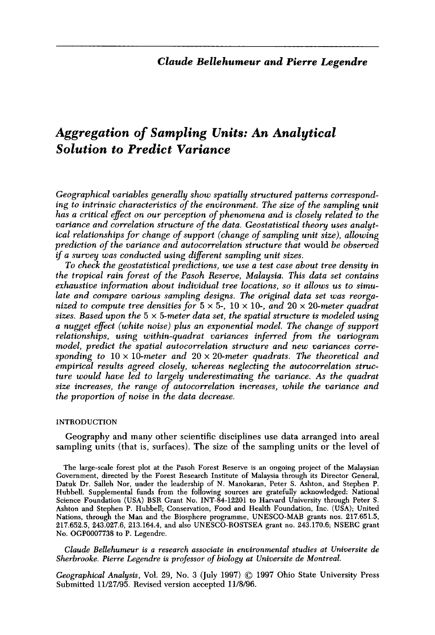# *Aggregation of Sampling Units: An Analytical Solution to Predict Variance*

*Geographical variables generally show spatially structured patterns correspond*ing to intrinsic characteristics of the environment. The size of the sampling unit has a critical effect on our perception of phenomena and is closely related to the *variance and correlation structure of the data. Geostatistical theory uses analytical relationships for change of support (change of sampling unit size), allowing prediction of the variance and autocorrelation structure that* would *be observed*  if a survey was conducted using different sampling unit sizes.

*To check the geostatistical predictions, we use a test case about tree density in the tropical rain forest of the Pasoh Reserve, Malaysia. This data set contains exhaustive information about individual tree locations, so it allows us to simulate and compare various sampling designs. The original data set was reorga*nized to compute tree densities for  $5 \times 5$ ,  $10 \times 10$ , and  $20 \times 20$ -meter quadrat *sizes. Based upon the 5 x 5-meter data set, the spatial structure is modeled using a nugget effect (white noise) plus an exponential model. The change of support relationships, using within-quadrat variances inferred from the variogram model, predict the spatial autocorrelation structure and new variances corre*sponding to  $10 \times 10$ -meter and  $20 \times 20$ -meter quadrats. The theoretical and *empirical results agreed closely, whereas neglecting the autocorrelation structure would have led to largely underestimating the variance. As the quadrat size increases, the range of autocorrelation increases, while the variance and the proportion of noise in the data decrease.* 

## INTRODUCTION

Geography and many other scientific disciplines use data arranged into areal sampling units (that is, surfaces). The size of the sampling units or the level of

*Claude Bellehumeur is a research associate in environmental studies at Universite de Sherbrooke. Pierre Legendre is professor of biology at Universite de Montreal.* 

*Geographical Analysis, Vol. 29, No. 3 (July 1997) 0 <sup>1997</sup>***Ohio State University Press Submitted** *11/27/95.* **Revised version accepted** *11/8/96.* 

The large-scale forest plot at the Pasoh Forest Reserve is an ongoing project of the Malaysian Government, directed by the Forest Research Institute of Malaysia through its Director General, Datuk Dr. Salleh Nor, under the leadership of N. Manokaran, Peter S. Ashton, and Stephen P. Hubbell. Supplemental funds from the following sources are gratefully acknowledged: National Science Foundation (USA) BSR Grant No. INT-84-12201 to Harvard University through Peter S. Ashton and Stephen P. Hubbell; Conservation, Food and Health Foundation, Inc. (USA); United Nations, through the Man and the Biosphere programme, UNESCO-MAB grants nos. 217.651.5, 217.652.5, 243.027.6, 213.164.4, and also UNESCO-ROSTSEA grant no. 243.170.6; NSERC grant No. OGP0007738 to P. Legendre.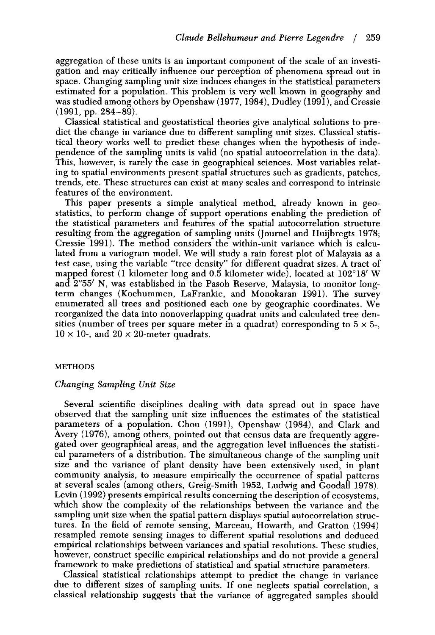aggregation of these units is an important component of the scale of an investigation and may critically influence our perception of phenomena spread out in space. Changing sampling unit size induces changes in the statistical parameters estimated for a population. This problem is very well known in geography and was studied among others by Openshaw (1977,1984), Dudley (1991), and Cressie  $(1991, pp. 284-89).$ 

Classical statistical and geostatistical theories give analytical solutions to predict the change in variance due to different sampling unit sizes. Classical statistical theory works well to predict these changes when the hypothesis of independence of the sampling units is valid (no spatial autocorrelation in the data). This, however, is rarely the case in geographical sciences. Most variables relating to spatial environments present spatial structures such as gradients, patches, trends, etc. These structures can exist at many scales and correspond to intrinsic features of the environment.

This paper presents a simple analytical method, already known in geostatistics, to perform change of support operations enabling the prediction of the statistical parameters and features of the spatial autocorrelation structure resulting from the aggregation of sampling units (Journel and Huijbregts 1978; Cressie 1991). The method considers the within-unit variance which is calculated from a variogram model. We will study a rain forest plot of Malaysia as a test case, using the variable "tree density" for different quadrat sizes. A tract of mapped forest (1 kilometer long and 0.5 kilometer wide), located at 102'18' W and  $2°55'$  N, was established in the Pasoh Reserve, Malaysia, to monitor longterm changes (Kochummen, LaFrankie, and Monokaran 1991). The survey enumerated all trees and positioned each one by geographic coordinates. We reorganized the data into nonoverlapping quadrat units and calculated tree densities (number of trees per square meter in a quadrat) corresponding to  $5 \times 5$ - $10 \times 10$ -, and  $20 \times 20$ -meter quadrats.

## **METHODS**

## *Changing Sampling Unit Size*

Several scientific disciplines dealing with data spread out in space have observed that the sampling unit size influences the estimates of the statistical parameters of a population. Chou (1991), Openshaw (1984), and Clark and Avery (1976), among others, pointed out that census data are frequently aggregated over geographical areas, and the aggregation level influences the statistical parameters of a distribution. The simultaneous change of the sampling unit size and the variance of plant density have been extensively used, in plant community analysis, to measure empirically the occurrence of spatial patterns at several scales (among others, Greig-Smith 1952, Ludwig and Goodall 1978). Levin (1992) presents empirical results concerning the description of ecosystems, which show the complexity of the relationships between the variance and the sampling unit size when the spatial pattern displays spatial autocorrelation structures. In the field of remote sensing, Marceau, Howarth, and Gratton (1994) resampled remote sensing images to different spatial resolutions and deduced empirical relationships between variances and spatial resolutions. These studies, however, construct specific empirical relationships and do not provide a general framework to make predictions of statistical and spatial structure parameters.

Classical statistical relationships attempt to predict the change in variance due to different sizes of sampling units. If one neglects spatial correlation, a classical relationship suggests that the variance of aggregated samples should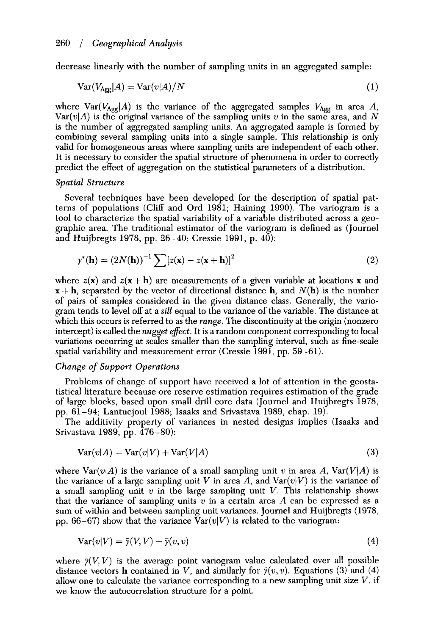decrease linearly with the number of sampling units in an aggregated sample:

$$
Var(V_{\text{Age}}|A) = Var(v|A)/N
$$
\n(1)

where  $Var(V_{Agg}|A)$  is the variance of the aggregated samples  $V_{Agg}$  in area A,  $Var(v|A)$  is the original variance of the sampling units *v* in the same area, and *N* is the number of aggregated sampling units. An aggregated sample is formed by combining several sampling units into a single sample. This relationship is only valid for homogeneous areas where sampling units are independent of each other. It is necessary to consider the spatial structure of phenomena in order to correctly predict the effect of aggregation on the statistical parameters of a distribution.

## *Spatial Structure*

Several techniques have been developed for the description of spatial patterns of populations (Cliff and Ord 1981; Haining 1990). The variogram is a tool to characterize the spatial variability of a variable distributed across a geographic area. The traditional estimator of the variogram is defined as (Journel and Huijbregts 1978, pp. 26-40; Cressie 1991, p. 40):

$$
\gamma^*(\mathbf{h}) = (2N(\mathbf{h}))^{-1} \sum [z(\mathbf{x}) - z(\mathbf{x} + \mathbf{h})]^2
$$
 (2)

where  $z(x)$  and  $z(x+h)$  are measurements of a given variable at locations x and  $\mathbf{x} + \mathbf{h}$ , separated by the vector of directional distance **h**, and  $N(\mathbf{h})$  is the number of pairs of samples considered in the given distance class. Generally, the variogram tends to level off at a *sill* equal to the variance of the variable. The distance at which this occurs is referred to as the *range.* The discontinuity at the origin (nonzero intercept) is called the *nugget efect.* It is a random component corresponding to local variations occurring at scales smaller than the sampling interval, such as fine-scale spatial variability and measurement error (Cressie 1991, pp. 59-61).

## *Change* of *Support Operations*

Problems of change of support have received a lot of attention in the geostatistical literature because ore reserve estimation requires estimation of the grade of large blocks, based upon small drill core data (Journel and Huijbregts 1978, pp. 61-94; Lantuejoul 1988; Isaaks and Srivastava 1989, chap. 19).

The additivity property of variances in nested designs implies (Isaaks and Srivastava 1989, pp. 476-80):

$$
Var(v|A) = Var(v|V) + Var(V|A)
$$
\n(3)

where  $\text{Var}(v|A)$  is the variance of a small sampling unit v in area A,  $\text{Var}(V|A)$  is the variance of a large sampling unit V in area A, and  $\text{Var}(v|V)$  is the variance of a small sampling unit *w* in the large sampling unit V. This relationship shows that the variance of sampling units *v* in a certain area A can be expressed as a sum of within and between sampling unit variances. Journel and Huijbregts (1978, pp. 66-67) show that the variance  $Var(v|V)$  is related to the variogram:

$$
Var(v|V) = \bar{\gamma}(V, V) - \bar{\gamma}(v, v)
$$
\n(4)

where  $\bar{\gamma}(V, V)$  is the average point variogram value calculated over all possible distance vectors **h** contained in V, and similarly for  $\bar{y}(v, v)$ . Equations (3) and (4) allow one to calculate the variance corresponding to a new sampling unit size  $V$ , if we know the autocorrelation structure for a point.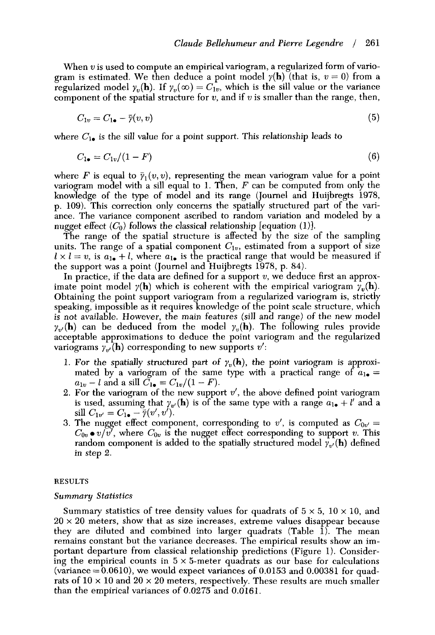When *u* is used to compute an empirical variogram, a regularized form of variogram is estimated. We then deduce a point model  $\gamma(\mathbf{h})$  (that is,  $v = 0$ ) from a regularized model  $\gamma_v(\mathbf{h})$ . If  $\gamma_v(\infty) = C_{1v}$ , which is the sill value or the variance component of the spatial structure for *v,* and if *w* is smaller than the range, then,

$$
C_{1v} = C_{1\bullet} - \bar{\gamma}(v, v) \tag{5}
$$

where  $C_{1\bullet}$  is the sill value for a point support. This relationship leads to

$$
C_{1\bullet}=C_{1\nu}/(1-F) \tag{6}
$$

where *F* is equal to  $\bar{y}_1(v, v)$ , representing the mean variogram value for a point variogram model with a sill equal to 1. Then, *F* can be computed from only the knowledge of the type of model and its range (Journel and Huijbregts 1978, p. 109). This correction only concerns the spatially structured part of the variance. The variance component ascribed to random variation and modeled by a nugget effect  $(C_0)$  follows the classical relationship [equation (1)].

The range of the spatial structure is affected by the size of the sampling units. The range of a spatial component  $C_{1v}$ , estimated from a support of size  $1 \times I = v$ , is  $a_{1} + I$ , where  $a_{1}$  is the practical range that would be measured if the support was a point (Journel and Huijbregts 1978, p. **84).** 

In practice, if the data are defined for a support *u,* we deduce first an approximate point model  $\gamma(\mathbf{h})$  which is coherent with the empirical variogram  $\gamma_v(\mathbf{h})$ . Obtaining the point support variogram from a regularized variogram is, strictly speaking, impossible as it requires knowledge of the point scale structure, which is *not* available. However, the main features (sill and range) of the new model  $\gamma_{\nu}(\mathbf{h})$  can be deduced from the model  $\gamma_{\nu}(\mathbf{h})$ . The following rules provide acceptable approximations to deduce the point variogram and the regularized variograms  $\gamma_{n'}(\mathbf{h})$  corresponding to new supports  $v'$ :

- 1. For the spatially structured part of  $\gamma_v(\mathbf{h})$ , the point variogram is approximated by a variogram of the same type with a practical range of  $a_{1\bullet} =$  $a_{1v} - l$  and a sill  $C_{1\bullet} = C_{1v}/(1 - F)$ .
- 2. For the variogram of the new support *u',* the above defined point variogram is used, assuming that  $\gamma_{v'}(h)$  is of the same type with a range  $a_{1\bullet} + l'$  and a sill  $C_{1v'} = C_{1\bullet} - \bar{\gamma}(v', v').$
- 3. The nugget effect component, corresponding to  $v'$ , is computed as  $C_{0v'} =$  $C_{0v} \bullet v/v'$ , where  $C_{0v}$  is the nugget effect corresponding to support *v*. This random component is added to the spatially structured model  $\gamma_{v'}(\mathbf{h})$  defined in step 2.

#### **RESULTS**

#### *Summary Statistics*

Summary statistics of tree density values for quadrats of  $5 \times 5$ ,  $10 \times 10$ , and  $20 \times 20$  meters, show that as size increases, extreme values disappear because they are diluted and combined into larger quadrats (Table 1). The mean remains constant but the variance decreases. The empirical results show an important departure from classical relationship predictions (Figure 1). Considering the empirical counts in  $5 \times 5$ -meter quadrats as our base for calculations (variance = 0.0610), we would expect variances of **0.0153** and 0.00381 for quadrats of  $10 \times 10$  and  $20 \times 20$  meters, respectively. These results are much smaller than the empirical variances of 0.0275 and 0.0161.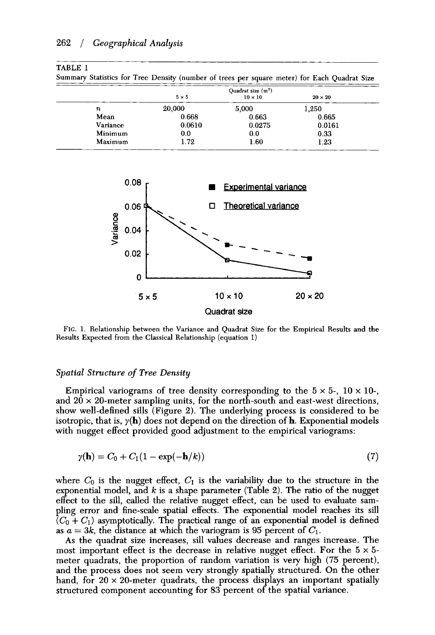# *262* / *Geographical Analysis*

#### **TABLE 1**

**Summary Statistics** for **Tree Density (number of trees per square meter) for Each Quadrat Size** 

|                  | Quadrat size $(m^2)$ |                |                |  |  |  |
|------------------|----------------------|----------------|----------------|--|--|--|
|                  | $5 \times 5$         | $10 \times 10$ | $20 \times 20$ |  |  |  |
| $\boldsymbol{n}$ | 20,000               | 5,000          | 1.250          |  |  |  |
| Mean             | 0.668                | 0.663          | 0.665          |  |  |  |
| Variance         | 0.0610               | 0.0275         | 0.0161         |  |  |  |
| Minimum          | 0.0                  | 0.0            | 0.33           |  |  |  |
| Maximum          | 1.72                 | 1.60           | 1.23           |  |  |  |



**FIG.** 1. **Relationship between the Variance and Quadrat Size for the Empirical Results and the Results Expected from the Classical Relationship (equation** 1)

## *Spatial Structure of Tree Density*

Empirical variograms of tree density corresponding to the  $5 \times 5$ -,  $10 \times 10$ -, and  $20 \times 20$ -meter sampling units, for the north-south and east-west directions, show well-defined sills (Figure 2). The underlying process is considered to be isotropic, that is,  $y(h)$  does not depend on the direction of h. Exponential models with nugget effect provided good adjustment to the empirical variograms:

$$
\gamma(\mathbf{h}) = C_0 + C_1(1 - \exp(-\mathbf{h}/k))
$$
\n<sup>(7)</sup>

where  $C_0$  is the nugget effect,  $C_1$  is the variability due to the structure in the exponential model, and *k* is a shape parameter (Table 2). The ratio of the nugget effect to the sill, called the relative nugget effect, can be used to evaluate sampling error and fine-scale spatial effects. The exponential model reaches its sill  $(C_0 + C_1)$  asymptotically. The practical range of an exponential model is defined as  $a = 3k$ , the distance at which the variogram is 95 percent of  $C_1$ .

**As** the quadrat size increases, sill values decrease and ranges increase. The most important effect is the decrease in relative nugget effect. For the  $5 \times 5$ meter quadrats, the proportion of random variation is very high (75 percent), and the process does not seem very strongly spatially structured. On the other hand, for  $20 \times 20$ -meter quadrats, the process displays an important spatially structured component accounting for **83** percent of the spatial variance.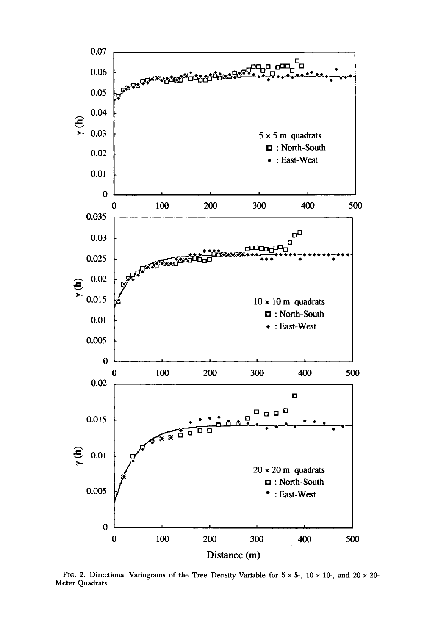

FIG. 2. Directional Variograms of the Tree Density Variable for  $5 \times 5$ -,  $10 \times 10$ -, and  $20 \times 20$ -**Meter Quadrats**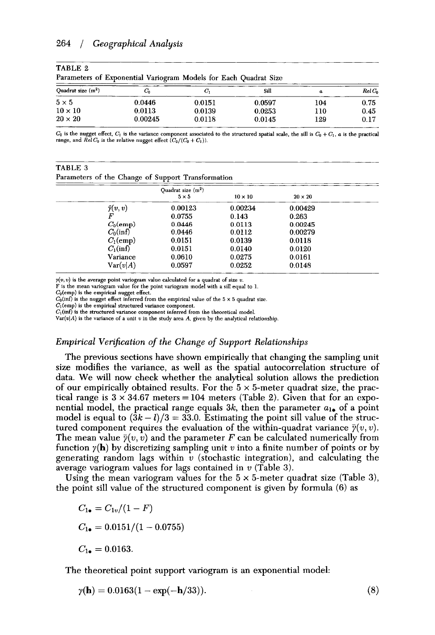# **264** *1 Geographical Analysis*

| Parameters of Exponential Variogram Models for Each Quadrat Size |         |        |        |                  |          |  |
|------------------------------------------------------------------|---------|--------|--------|------------------|----------|--|
| Ouadrat size $(m2)$                                              | C.      | C.     | Sill   | $\boldsymbol{a}$ | $RelC_0$ |  |
| $5 \times 5$                                                     | 0.0446  | 0.0151 | 0.0597 | 104              | 0.75     |  |
| $10 \times 10$                                                   | 0.0113  | 0.0139 | 0.0253 | 110              | 0.45     |  |
| $20 \times 20$                                                   | 0.00245 | 0.0118 | 0.0145 | 129              | 0.17     |  |

| TABLE 2 |                                                                  |  |  |  |  |
|---------|------------------------------------------------------------------|--|--|--|--|
|         | Parameters of Exponential Variogram Models for Each Ouadrat Size |  |  |  |  |

 $C_0$  is the nugget effect,  $C_1$  is the variance component associated to the structured spatial scale, the sill is  $C_0 + C_1$ , *a* is the practical range, and  $\widetilde{Rel} C_0$  is the relative nugget effect  $\widetilde{(C_0/(C_0+C_1))}$ .

| TABLE 3 |  |  |                                                    |
|---------|--|--|----------------------------------------------------|
|         |  |  | Parameters of the Change of Support Transformation |

|                     | Quadrat size $(m^2)$<br>$5 \times 5$ | $10 \times 10$ | $20 \times 20$ |  |
|---------------------|--------------------------------------|----------------|----------------|--|
|                     |                                      |                |                |  |
| $\bar{\gamma}(v,v)$ | 0.00123                              | 0.00234        | 0.00429        |  |
| F                   | 0.0755                               | 0.143          | 0.263          |  |
| $C_0$ (emp)         | 0.0446                               | 0.0113         | 0.00245        |  |
| $C_0(\inf)$         | 0.0446                               | 0.0112         | 0.00279        |  |
| $C_1$ (emp)         | 0.0151                               | 0.0139         | 0.0118         |  |
| $C_1(\inf)$         | 0.0151                               | 0.0140         | 0.0120         |  |
| Variance            | 0.0610                               | 0.0275         | 0.0161         |  |
| Var(v A)            | 0.0597                               | 0.0252         | 0.0148         |  |

 $y(v, v)$  is the average point variogram value calculated for a quadrat of size  $v$ .

F is the mean variogram value for the point variogram model with a sill equal to **1.** 

 $C_0$ (emp) is the empirical nugget effect.

 $C_0(\text{inf})$  is the nugget effect inferred from the empirical value of the  $5 \times 5$  quadrat size.

 $C_1$ (emp) is the empirical structured variance component.

 $C_1$ (inf) is the structured variance component inferred from the theoretical model.

 $Var(v|A)$  is the variance of a unit  $v$  in the study area  $A$ , given by the analytical relationship.

# *Empirical Verijication of the Change of Support Relationships*

The previous sections have shown empirically that changing the sampling unit size modifies the variance, as well as the spatial autocorrelation structure of data. We will now check whether the analytical solution allows the prediction of our empirically obtained results. For the 5 *x* 5-meter quadrat size, the practical range is  $3 \times 34.67$  meters = 104 meters (Table 2). Given that for an exponential model, the practical range equals  $3k$ , then the parameter  $a_{1\bullet}$  of a point model is equal to  $(3k - l)/3 = 33.0$ . Estimating the point sill value of the structured component requires the evaluation of the within-quadrat variance  $\bar{y}(v, v)$ . The mean value  $\bar{\gamma}(v, v)$  and the parameter *F* can be calculated numerically from function  $y(h)$  by discretizing sampling unit *v* into a finite number of points or by generating random lags within *w* (stochastic integration), and calculating the average variogram values for lags contained in *w* (Table *3).* 

Using the mean variogram values for the 5 x 5-meter quadrat size (Table *3),*  the point sill value of the structured component is given by formula (6) as

 $C_{1\bullet} = C_{1v}/(1 - F)$  $C_{1\bullet} = 0.0151/(1 - 0.0755)$  $C_{1\bullet} = 0.0163$ .

The theoretical point support variogram is an exponential model:

$$
\gamma(\mathbf{h}) = 0.0163(1 - \exp(-\mathbf{h}/33)).\tag{8}
$$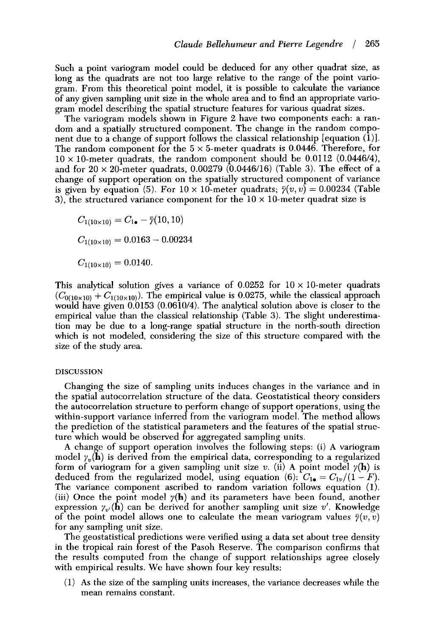Such a point variogram model could be deduced for any other quadrat size, as long as the quadrats are not too large relative to the range of the point variogram. From this theoretical point model, it is possible to calculate the variance of any given sampling unit size in the whole area and to find an appropriate variogram model describing the spatial structure features for various quadrat sizes.

The variogram models shown in Figure 2 have two components each: a random and a spatially structured component. The change in the random component due to a change of support follows the classical relationship [equation (l)]. The random component for the  $5 \times 5$ -meter quadrats is 0.0446. Therefore, for  $10 \times 10$ -meter quadrats, the random component should be 0.0112 (0.0446/4), and for  $20 \times 20$ -meter quadrats, 0.00279 (0.0446/16) (Table 3). The effect of a change of support operation on the spatially structured component of variance is given by equation (5). For  $10 \times 10$ -meter quadrats;  $\bar{\gamma}(v, v) = 0.00234$  (Table 3), the structured variance component for the  $10 \times 10$ -meter quadrat size is

 $C_{1(10\times10)} = C_{1\bullet} - \bar{\gamma}(10,10)$  $C_{1(10\times10)} = 0.0163 - 0.00234$  $C_{1(10\times10)} = 0.0140.$ 

This analytical solution gives a variance of  $0.0252$  for  $10 \times 10$ -meter quadrats  $(C_{0(10\times10)} + C_{1(10\times10)})$ . The empirical value is 0.0275, while the classical approach would have given 0.0153 (0.0610/4). The analytical solution above is closer to the empirical value than the classical relationship (Table *3).* The slight underestimation may be due to a long-range spatial structure in the north-south direction which is not modeled, considering the size of this structure compared with the size of the study area.

# **DISCUSSION**

Changing the size of sampling units induces changes in the variance and in the spatial autocorrelation structure of the data. Geostatistical theory considers the autocorrelation structure to perform change of support operations, using the within-support variance inferred from the variogram model. The method allows the prediction of the statistical parameters and the features of the spatial structure which would be observed for aggregated sampling units.

**A** change of support operation involves the following steps: (i) **A** variogram model  $\gamma_v(\mathbf{h})$  is derived from the empirical data, corresponding to a regularized form of variogram for a given sampling unit size *v*. (ii) A point model  $\gamma(\mathbf{h})$  is deduced from the regularized model, using equation (6):  $C_{1\bullet} = C_{1v}/(1 - F)$ . The variance component ascribed to random variation follows equation **(1).**  (iii) Once the point model  $y(h)$  and its parameters have been found, another expression  $\gamma_{v'}(\mathbf{h})$  can be derived for another sampling unit size v'. Knowledge of the point model allows one to calculate the mean variogram values  $\bar{\gamma}(v,v)$ for any sampling unit size.

The geostatistical predictions were verified using a data set about tree density in the tropical rain forest of the Pasoh Reserve. The comparison confirms that the results computed from the change of support relationships agree closely with empirical results. We have shown four key results:

(1) **As** the size of the sampling units increases, the variance decreases while the mean remains constant.